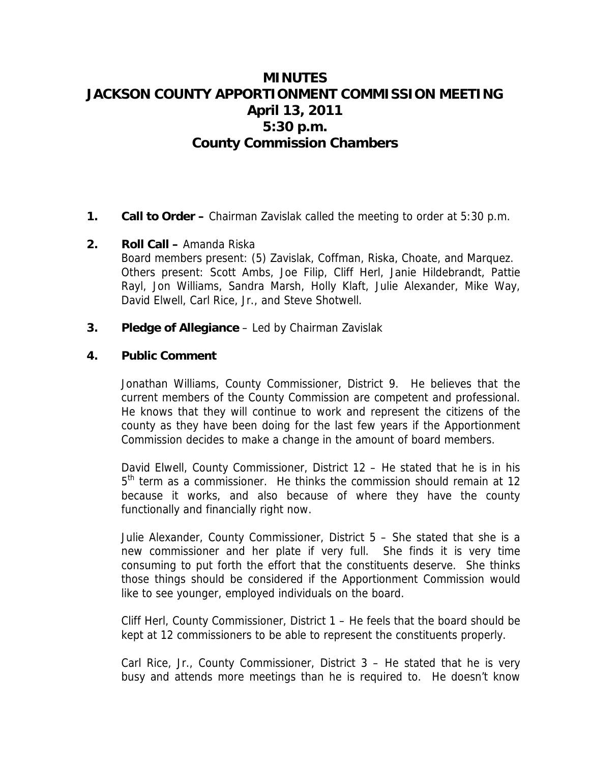# **MINUTES JACKSON COUNTY APPORTIONMENT COMMISSION MEETING April 13, 2011 5:30 p.m. County Commission Chambers**

**1. Call to Order –** Chairman Zavislak called the meeting to order at 5:30 p.m.

#### **2. Roll Call –** Amanda Riska

Board members present: (5) Zavislak, Coffman, Riska, Choate, and Marquez. Others present: Scott Ambs, Joe Filip, Cliff Herl, Janie Hildebrandt, Pattie Rayl, Jon Williams, Sandra Marsh, Holly Klaft, Julie Alexander, Mike Way, David Elwell, Carl Rice, Jr., and Steve Shotwell.

**3. Pledge of Allegiance** – Led by Chairman Zavislak

# **4. Public Comment**

Jonathan Williams, County Commissioner, District 9. He believes that the current members of the County Commission are competent and professional. He knows that they will continue to work and represent the citizens of the county as they have been doing for the last few years if the Apportionment Commission decides to make a change in the amount of board members.

David Elwell, County Commissioner, District 12 – He stated that he is in his 5<sup>th</sup> term as a commissioner. He thinks the commission should remain at 12 because it works, and also because of where they have the county functionally and financially right now.

Julie Alexander, County Commissioner, District 5 – She stated that she is a new commissioner and her plate if very full. She finds it is very time consuming to put forth the effort that the constituents deserve. She thinks those things should be considered if the Apportionment Commission would like to see younger, employed individuals on the board.

Cliff Herl, County Commissioner, District 1 – He feels that the board should be kept at 12 commissioners to be able to represent the constituents properly.

Carl Rice, Jr., County Commissioner, District 3 – He stated that he is very busy and attends more meetings than he is required to. He doesn't know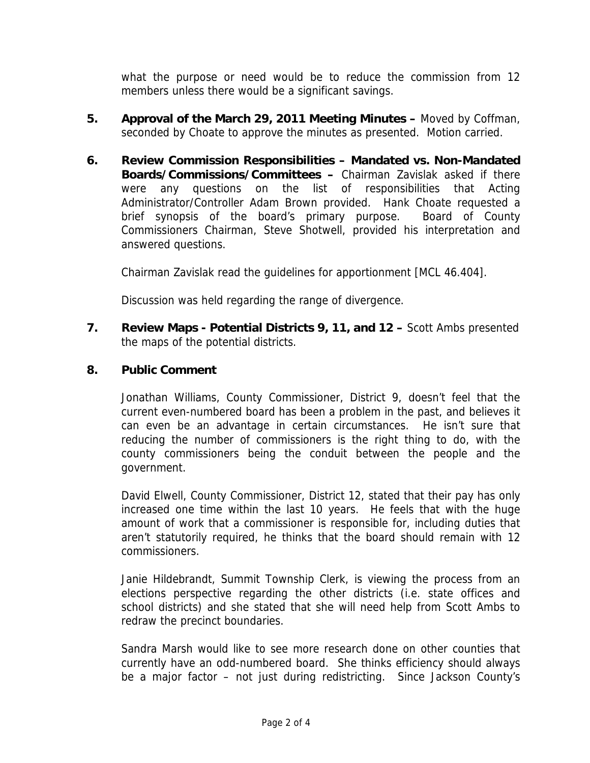what the purpose or need would be to reduce the commission from 12 members unless there would be a significant savings.

- **5. Approval of the March 29, 2011 Meeting Minutes** Moved by Coffman, seconded by Choate to approve the minutes as presented. Motion carried.
- **6. Review Commission Responsibilities Mandated vs. Non-Mandated Boards/Commissions/Committees –** Chairman Zavislak asked if there were any questions on the list of responsibilities that Acting Administrator/Controller Adam Brown provided. Hank Choate requested a brief synopsis of the board's primary purpose. Board of County Commissioners Chairman, Steve Shotwell, provided his interpretation and answered questions.

Chairman Zavislak read the guidelines for apportionment [MCL 46.404].

Discussion was held regarding the range of divergence.

**7. Review Maps - Potential Districts 9, 11, and 12 –** Scott Ambs presented the maps of the potential districts.

# **8. Public Comment**

Jonathan Williams, County Commissioner, District 9, doesn't feel that the current even-numbered board has been a problem in the past, and believes it can even be an advantage in certain circumstances. He isn't sure that reducing the number of commissioners is the right thing to do, with the county commissioners being the conduit between the people and the government.

David Elwell, County Commissioner, District 12, stated that their pay has only increased one time within the last 10 years. He feels that with the huge amount of work that a commissioner is responsible for, including duties that aren't statutorily required, he thinks that the board should remain with 12 commissioners.

Janie Hildebrandt, Summit Township Clerk, is viewing the process from an elections perspective regarding the other districts (i.e. state offices and school districts) and she stated that she will need help from Scott Ambs to redraw the precinct boundaries.

Sandra Marsh would like to see more research done on other counties that currently have an odd-numbered board. She thinks efficiency should always be a major factor – not just during redistricting. Since Jackson County's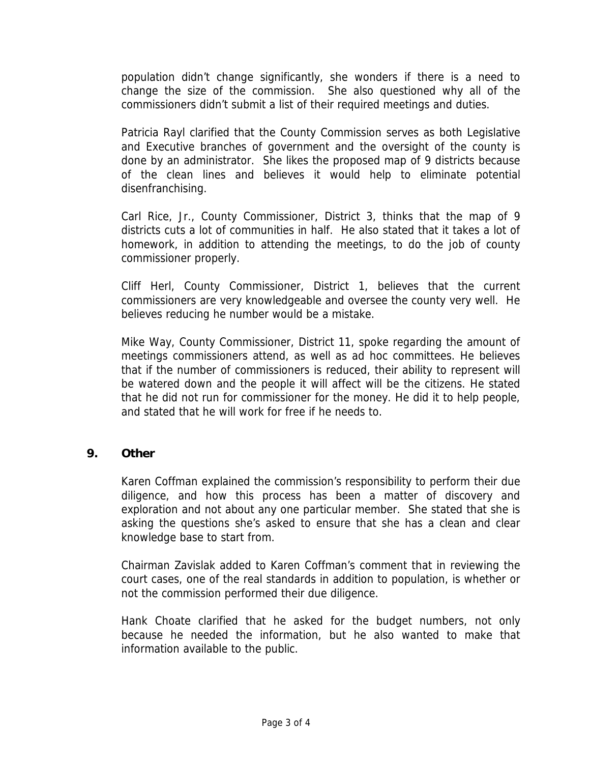population didn't change significantly, she wonders if there is a need to change the size of the commission. She also questioned why all of the commissioners didn't submit a list of their required meetings and duties.

Patricia Rayl clarified that the County Commission serves as both Legislative and Executive branches of government and the oversight of the county is done by an administrator. She likes the proposed map of 9 districts because of the clean lines and believes it would help to eliminate potential disenfranchising.

Carl Rice, Jr., County Commissioner, District 3, thinks that the map of 9 districts cuts a lot of communities in half. He also stated that it takes a lot of homework, in addition to attending the meetings, to do the job of county commissioner properly.

Cliff Herl, County Commissioner, District 1, believes that the current commissioners are very knowledgeable and oversee the county very well. He believes reducing he number would be a mistake.

Mike Way, County Commissioner, District 11, spoke regarding the amount of meetings commissioners attend, as well as ad hoc committees. He believes that if the number of commissioners is reduced, their ability to represent will be watered down and the people it will affect will be the citizens. He stated that he did not run for commissioner for the money. He did it to help people, and stated that he will work for free if he needs to.

# **9. Other**

Karen Coffman explained the commission's responsibility to perform their due diligence, and how this process has been a matter of discovery and exploration and not about any one particular member. She stated that she is asking the questions she's asked to ensure that she has a clean and clear knowledge base to start from.

Chairman Zavislak added to Karen Coffman's comment that in reviewing the court cases, one of the real standards in addition to population, is whether or not the commission performed their due diligence.

Hank Choate clarified that he asked for the budget numbers, not only because he needed the information, but he also wanted to make that information available to the public.